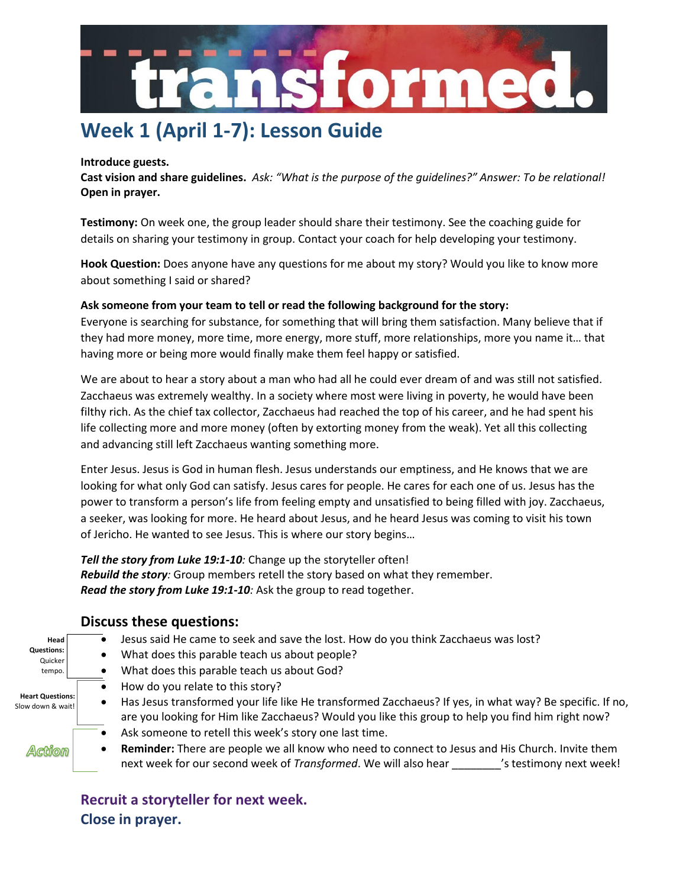

## **Week 1 (April 1-7): Lesson Guide**

#### **Introduce guests.**

**Cast vision and share guidelines.** *Ask: "What is the purpose of the guidelines?" Answer: To be relational!* **Open in prayer.**

**Testimony:** On week one, the group leader should share their testimony. See the coaching guide for details on sharing your testimony in group. Contact your coach for help developing your testimony.

**Hook Question:** Does anyone have any questions for me about my story? Would you like to know more about something I said or shared?

### **Ask someone from your team to tell or read the following background for the story:**

Everyone is searching for substance, for something that will bring them satisfaction. Many believe that if they had more money, more time, more energy, more stuff, more relationships, more you name it… that having more or being more would finally make them feel happy or satisfied.

We are about to hear a story about a man who had all he could ever dream of and was still not satisfied. Zacchaeus was extremely wealthy. In a society where most were living in poverty, he would have been filthy rich. As the chief tax collector, Zacchaeus had reached the top of his career, and he had spent his life collecting more and more money (often by extorting money from the weak). Yet all this collecting and advancing still left Zacchaeus wanting something more.

Enter Jesus. Jesus is God in human flesh. Jesus understands our emptiness, and He knows that we are looking for what only God can satisfy. Jesus cares for people. He cares for each one of us. Jesus has the power to transform a person's life from feeling empty and unsatisfied to being filled with joy. Zacchaeus, a seeker, was looking for more. He heard about Jesus, and he heard Jesus was coming to visit his town of Jericho. He wanted to see Jesus. This is where our story begins…

*Tell the story from Luke 19:1-10:* Change up the storyteller often! *Rebuild the story:* Group members retell the story based on what they remember. *Read the story from Luke 19:1-10:* Ask the group to read together.

|  |  | <b>Discuss these questions:</b> |
|--|--|---------------------------------|
|--|--|---------------------------------|

**Head Questions:** Quicker tempo.

**Heart Questions:**  Slow down & wait!

Action

- Jesus said He came to seek and save the lost. How do you think Zacchaeus was lost?
	- What does this parable teach us about people?
	- What does this parable teach us about God?
	- How do you relate to this story?
- Has Jesus transformed your life like He transformed Zacchaeus? If yes, in what way? Be specific. If no, are you looking for Him like Zacchaeus? Would you like this group to help you find him right now?
- Ask someone to retell this week's story one last time.
- **Reminder:** There are people we all know who need to connect to Jesus and His Church. Invite them next week for our second week of *Transformed*. We will also hear \_\_\_\_\_\_\_\_'s testimony next week!

**Recruit a storyteller for next week. Close in prayer.**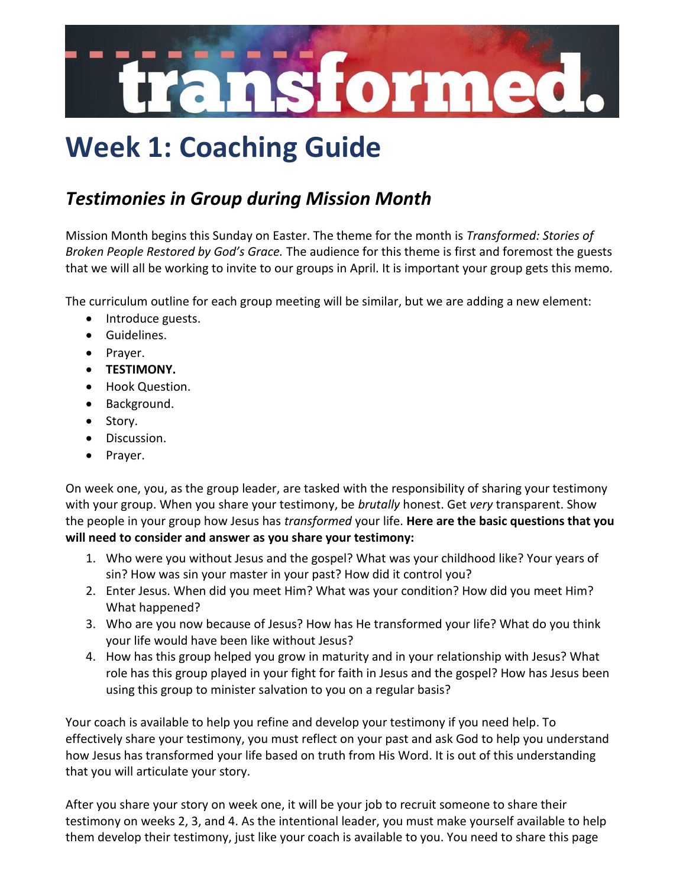

# **Week 1: Coaching Guide**

### *Testimonies in Group during Mission Month*

Mission Month begins this Sunday on Easter. The theme for the month is *Transformed: Stories of Broken People Restored by God's Grace.* The audience for this theme is first and foremost the guests that we will all be working to invite to our groups in April. It is important your group gets this memo.

The curriculum outline for each group meeting will be similar, but we are adding a new element:

- Introduce guests.
- Guidelines.
- Prayer.
- **TESTIMONY.**
- Hook Question.
- Background.
- Story.
- Discussion.
- Prayer.

On week one, you, as the group leader, are tasked with the responsibility of sharing your testimony with your group. When you share your testimony, be *brutally* honest. Get *very* transparent. Show the people in your group how Jesus has *transformed* your life. **Here are the basic questions that you will need to consider and answer as you share your testimony:**

- 1. Who were you without Jesus and the gospel? What was your childhood like? Your years of sin? How was sin your master in your past? How did it control you?
- 2. Enter Jesus. When did you meet Him? What was your condition? How did you meet Him? What happened?
- 3. Who are you now because of Jesus? How has He transformed your life? What do you think your life would have been like without Jesus?
- 4. How has this group helped you grow in maturity and in your relationship with Jesus? What role has this group played in your fight for faith in Jesus and the gospel? How has Jesus been using this group to minister salvation to you on a regular basis?

Your coach is available to help you refine and develop your testimony if you need help. To effectively share your testimony, you must reflect on your past and ask God to help you understand how Jesus has transformed your life based on truth from His Word. It is out of this understanding that you will articulate your story.

After you share your story on week one, it will be your job to recruit someone to share their testimony on weeks 2, 3, and 4. As the intentional leader, you must make yourself available to help them develop their testimony, just like your coach is available to you. You need to share this page